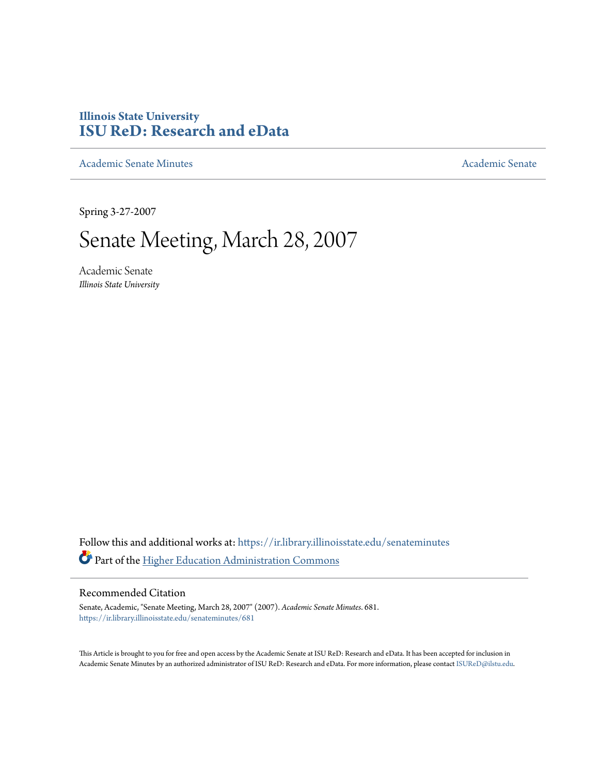# **Illinois State University [ISU ReD: Research and eData](https://ir.library.illinoisstate.edu?utm_source=ir.library.illinoisstate.edu%2Fsenateminutes%2F681&utm_medium=PDF&utm_campaign=PDFCoverPages)**

[Academic Senate Minutes](https://ir.library.illinoisstate.edu/senateminutes?utm_source=ir.library.illinoisstate.edu%2Fsenateminutes%2F681&utm_medium=PDF&utm_campaign=PDFCoverPages) [Academic Senate](https://ir.library.illinoisstate.edu/senate?utm_source=ir.library.illinoisstate.edu%2Fsenateminutes%2F681&utm_medium=PDF&utm_campaign=PDFCoverPages) Academic Senate

Spring 3-27-2007

# Senate Meeting, March 28, 2007

Academic Senate *Illinois State University*

Follow this and additional works at: [https://ir.library.illinoisstate.edu/senateminutes](https://ir.library.illinoisstate.edu/senateminutes?utm_source=ir.library.illinoisstate.edu%2Fsenateminutes%2F681&utm_medium=PDF&utm_campaign=PDFCoverPages) Part of the [Higher Education Administration Commons](http://network.bepress.com/hgg/discipline/791?utm_source=ir.library.illinoisstate.edu%2Fsenateminutes%2F681&utm_medium=PDF&utm_campaign=PDFCoverPages)

#### Recommended Citation

Senate, Academic, "Senate Meeting, March 28, 2007" (2007). *Academic Senate Minutes*. 681. [https://ir.library.illinoisstate.edu/senateminutes/681](https://ir.library.illinoisstate.edu/senateminutes/681?utm_source=ir.library.illinoisstate.edu%2Fsenateminutes%2F681&utm_medium=PDF&utm_campaign=PDFCoverPages)

This Article is brought to you for free and open access by the Academic Senate at ISU ReD: Research and eData. It has been accepted for inclusion in Academic Senate Minutes by an authorized administrator of ISU ReD: Research and eData. For more information, please contact [ISUReD@ilstu.edu.](mailto:ISUReD@ilstu.edu)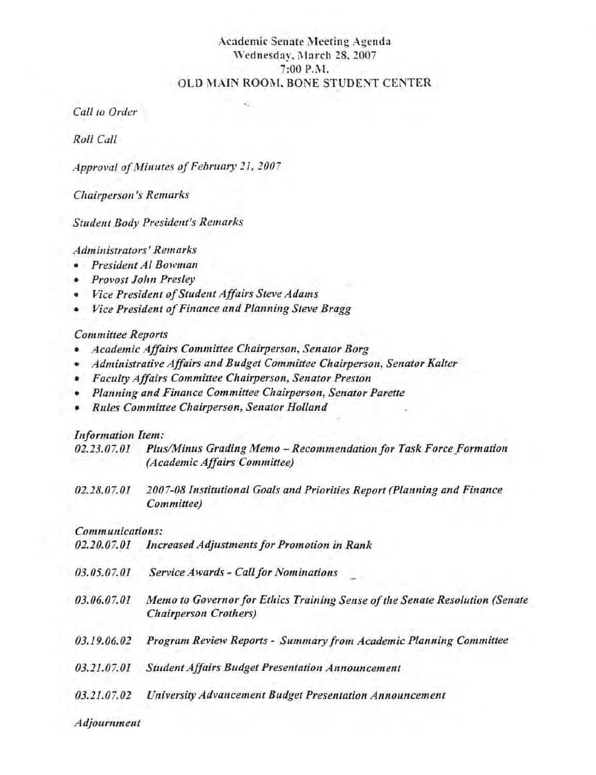#### Academic Senate Meeting Agenda Wednesday, March 28,2007 7:00 P.M. OLD MAIN ROOM, BONE STUDENT CENTER

*Call to Order* 

*Roll Call* 

*Approval of /'v/illutes of February* 21, *2007* 

*Chairpersoll's Remarks* 

*Student Body President's Remarks* 

*Administrators' Remarks* 

- *President Al Bowman*
- *Provost John Presley*
- *Vice President of Student Affairs Steve Adams*
- *Vice President of Finance and Planning Steve Bragg*

#### *Committee Reports*

- *Academic Affairs Committee Chairperson, Senator Borg*
- *Administrative Affairs and Budget Committee Chairperson, Senator Kalter*
- *Faculty Affairs Committee Chairperson, Senator Preston*
- *Planning and Finance Committee Chairperson, Senator Parette*
- *Rules Committee Chairperson, Senator Holland*

#### *Information Item:*

| 02.23.07.01 | Plus/Minus Grading Memo - Recommendation for Task Force Formation |
|-------------|-------------------------------------------------------------------|
|             | (Academic Affairs Committee)                                      |

*02.28.07.01 , 2007-08 Institutional Goals and Priorities Report (Planning and Finance Committee)* 

# *Communications:*

| 02.20.07.01 | <b>Increased Adjustments for Promotion in Rank</b>                                                           |
|-------------|--------------------------------------------------------------------------------------------------------------|
| 03.05.07.01 | <b>Service Awards - Call for Nominations</b>                                                                 |
| 03.06.07.01 | Memo to Governor for Ethics Training Sense of the Senate Resolution (Senate<br><b>Chairperson Crothers</b> ) |
| 03.19.06.02 | Program Review Reports - Summary from Academic Planning Committee                                            |
| 03.21.07.01 | <b>Student Affairs Budget Presentation Announcement</b>                                                      |
| 03.21.07.02 | University Advancement Budget Presentation Announcement                                                      |
| Adjournment |                                                                                                              |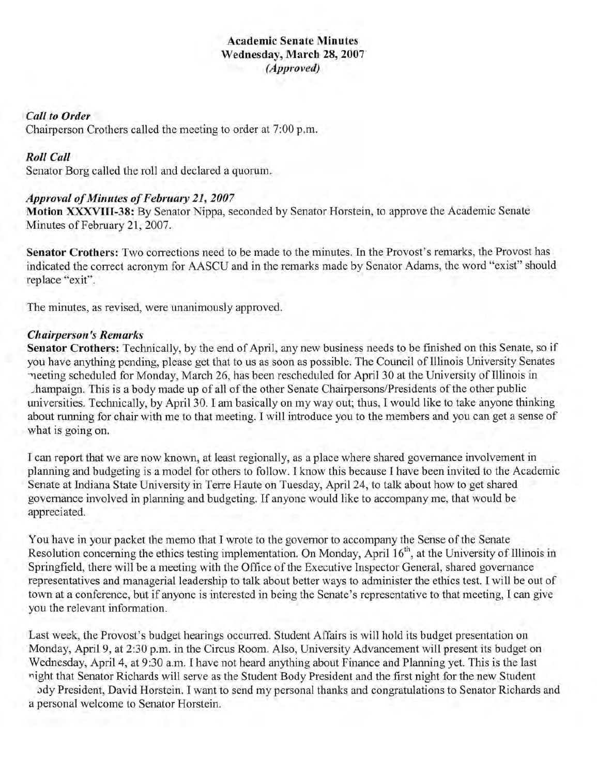#### Academic Senate Minutes Wednesday, March 28, 2007 *(Approved)*

#### *Call to Order*

Chairperson Crothers called the meeting to order at 7:00 p.m.

#### *Roll Call*

Senator Borg called the roll and declared a quorum.

#### *Approval of Minutes of February* 21, *2007*

Motion XXXVIII-38: By Senator Nippa, seconded by Senator Horstein, to approve the Academic Senate Minutes of February 21, 2007.

Senator Crothers: Two corrections need to be made to the minutes. In the Provost's remarks, the Provost has indicated the correct acronym for AASCU and in the remarks made by Senator Adams, the word "exist" should replace "exit".

The minutes, as revised, were unanimously approved.

#### *Chairperson's Remarks*

Senator Crothers: Technically, by the end of April, any new business needs to be finished on this Senate, so if you have anything pending, please get that to us as soon as possible. The Council of Illinois University Senates "weeting scheduled for Monday, March 26, has been rescheduled for April 30 at the University of Illinois in Jhampaign. This is a body made up of all of the other Senate Chairpersons/Presidents of the other public universities. Technically, by April 30. I am basically on my way out; thus, I would like to take anyone thinking about running for chair with me to that meeting. I will introduce you to the members and you can get a sense of what is going on.

I can report that we are now known, at least regionally, as a place where shared governance involvement in planning and budgeting is a model for others to follow. I know this because I have been invited to the Academic Senate at Indiana State University in Terre Haute on Tuesday, April 24, to talk about how to get shared governance involved in planning and budgeting. If anyone would like to accompany me, that would be appreciated.

You have in your packet the memo that I wrote to the governor to accompany the Sense of the Senate Resolution concerning the ethics testing implementation. On Monday, April 16<sup>th</sup>, at the University of Illinois in Springfield, there will be a meeting with the Office of the Executive Inspector General, shared governance representatives and managerial leadership to talk about better ways to administer the ethics test. I will be out of town at a conference, but if anyone is interested in being the Senate's representative to that meeting, I can give you the relevant information.

Last week, the Provost's budget hearings occurred. Student Affairs is will hold its budget presentation on Monday, April 9, at 2:30 p.m. in the Circus Room. Also, University Advancement will present its budget on Wednesday, April 4, at 9:30 a.m. I have not heard anything about Finance and Planning yet. This is the last night that Senator Richards will serve as the Student Body President and the first night for the new Student

Jdy President, David Horstein. I want to send my personal thanks and congratulations to Senator Richards and a personal welcome to Senator Horstein.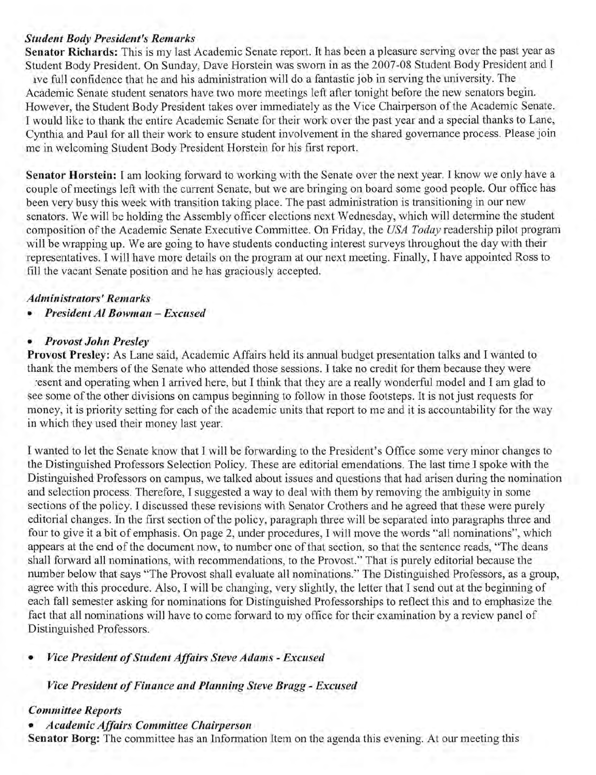#### *Student Body President's Remarks*

**Senator Richards:** This is my last Academic Senate report. It has been a pleasure serving over the past year as Student Body President. On Sunday, Dave Horstein was sworn in as the 2007-08 Student Body President and I ave full confidence that he and his administration will do a fantastic job in serving the university. The Academic Senate student senators have two more meetings left after tonight before the new senators begin. However, the Student Body President takes over immediately as the Vice Chairperson of the Academic Senate. I would like to thank the entire Academic Senate for their work over the past year and a special thanks to Lane, Cynthia and Paul for all their work to ensure student involvement in the shared governance process. Please join me in welcoming Student Body President Horstein for his first report.

**Senator Horstein:** I am looking forward to working with the Senate over the next year. I know we only have a couple of meetings left with the current Senate, but we are bringing on board some good people. Our office has been very busy this week with transition taking place. The past administration is transitioning in our new senators. We will be holding the Assembly officer elections next Wednesday, which will determine the student composition of the Academic Senate Executive Committee. On Friday, the *USA Today* readership pilot program will be wrapping up. We are going to have students conducting interest surveys throughout the day with their representatives. I will have more details on the program at our next meeting. Finally, I have appointed Ross to fill the vacant Senate position and he has graciously accepted.

#### *Administrators' Remarks*

*• President Al Bowman* **-** *Excused* 

#### *• Provost John Presley*

**Provost Presley:** As Lane said, Academic Affairs held its annual budget presentation talks and I wanted to thank the members of the Senate who attended those sessions. I take no credit for them because they were

·esent and operating when I arrived here, but I think that they are a really wonderful model and I am glad to see some of the other divisions on campus beginning to follow in those footsteps. It is not just requests for money, it is priority setting for each of the academic units that report to me and it is accountability for the way in which they used their money last year.

I wanted to let the Senate know that I will be forwarding to the President's Office some very minor changes to the Distinguished Professors Selection Policy. These are editorial emendations. The last time I spoke with the Distinguished Professors on campus, we talked about issues and questions that had arisen during the nomination and selection process. Therefore, I suggested a way to deal with them by removing the ambiguity in some sections of the policy. I discussed these revisions with Senator Crothers and he agreed that these were purely editorial changes. In the first section of the policy, paragraph three will be separated into paragraphs three and four to give it a bit of emphasis. On page 2, under procedures, I will move the words "all nominations", which appears at the end of the document now, to number one of that section, so that the sentence reads, "The deans shall forward all nominations, with recommendations, to the Provost." That is purely editorial because the number below that says "The Provost shall evaluate all nominations." The Distinguished Professors, as a group, agree with this procedure. Also, I will be changing, very slightly, the letter that I send out at the beginning of each fall semester asking for nominations for Distinguished Professorships to reflect this and to emphasize the fact that all nominations will have to come forward to my office for their examination by a review panel of Distinguished Professors.

#### *• Vice President of Student Affairs Steve Adams* **-** *Excused*

*Vice President of Finance and Planning Steve Bragg* **-** *Excused* 

#### *Committee Reports*

#### *• Academic Affairs Committee Chairperson*

**Senator Borg:** The committee has an Information Item on the agenda this evening. At our meeting this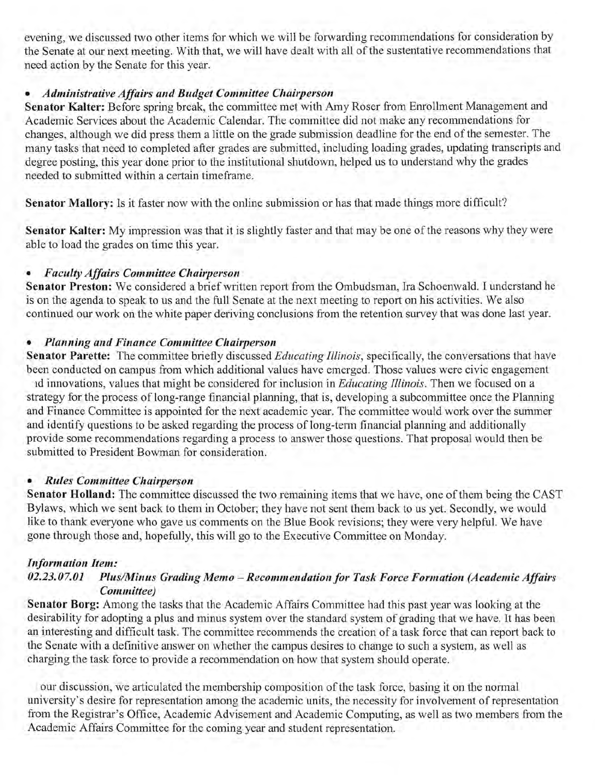evening, we discussed two other items for which we will be forwarding recommendations for consideration by the Senate at our next meeting. With that, we will have dealt with all of the sustentative recommendations that need action by the Senate for this year.

#### *• Administrative Affairs and Budget Committee Chairperson*

Senator Kalter: Before spring break, the committee met with Amy Roser from Enrollment Management and Academic Services about the Academic Calendar. The committee did not make any recommendations for changes, although we did press them a little on the grade submission deadline for the end of the semester. The many tasks that need to completed after grades are submitted, including loading grades, updating transcripts and degree posting, this year done prior to the institutional shutdown, helped us to understand why the grades needed to submitted within a certain timeframe.

Senator Mallory: Is it faster now with the online submission or has that made things more difficult?

Senator Kalter: My impression was that it is slightly faster and that may be one of the reasons why they were able to load the grades on time this year.

# *• Faculty Affairs Committee Chairperson*

Senator Preston: We considered a brief written report from the Ombudsman, Ira Schoenwald. I understand he is on the agenda to speak to us and the full Senate at the next meeting to report on his activities. We also continued our work on the white paper deriving conclusions from the retention survey that was done last year.

## *• Planning and Finance Committee Chairperson*

Senator Parette: The committee briefly discussed *Educating Illinois*, specifically, the conversations that have been conducted on campus from which additional values have emerged. Those values were civic engagement

ld innovations, values that might be considered for inclusion in *Educating Illinois.* Then we focused on a strategy for the process of long-range financial planning, that is, developing a subcommittee once the Planning and Finance Committee is appointed for the next academic year. The committee would work over the summer and identify questions to be asked regarding the process of long-term financial planning and additionally provide some recommendations regarding a process to answer those questions. That proposal would then be submitted to President Bowman for consideration.

#### *• Rules Committee Chairperson*

Senator **Holland:** The committee discussed the two remaining items that we have, one of them being the CAST Bylaws, which we sent back to them in October; they have not sent them back to us yet. Secondly, we would like to thank everyone who gave us comments on the Blue Book revisions; they were very helpful. We have gone through those and, hopefully, this will go to the Executive Committee on Monday.

#### *Information Item:*

## *02.23.07.01 Plus/Minus Grading Memo -Recommendationfor Task Force Formation (Academic Affairs Committee)*

Senator Borg: Among the tasks that the Academic Affairs Committee had this past year was looking at the desirability for adopting a plus and minus system over the standard system of grading that we have. It has been an interesting and difficult task. The committee recommends the creation of a task force that can report back to the Senate with a definitive answer on whether the campus desires to change to such a system, as well as charging the task force to provide a recommendation on how that system should operate .

. our discussion, we articulated the membership composition of the task force, basing it on the normal university's desire for representation among the academic units, the necessity for involvement of representation from the Registrar's Office, Academic Advisement and Academic Computing, as well as two members from the Academic Affairs Committee for the coming year and student representation.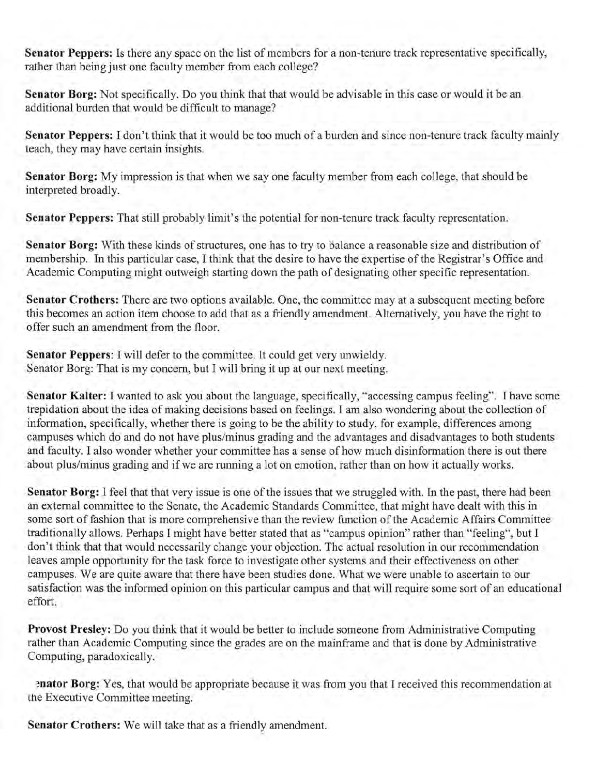**Senator Peppers:** Is there any space on the list of members for a non-tenure track representative specifically, rather than being just one faculty member from each college?

**Senator Borg:** Not specifically. Do you think that that would be advisable in this case or would it be an additional burden that would be difficult to manage?

**Senator Peppers:** I don't think that it would be too much of a burden and since non-tenure track faculty mainly teach, they may have certain insights.

**Senator Borg:** My impression is that when we say one faculty member from each college, that should be interpreted broadly.

**Senator Peppers:** That still probably limit's the potential for non-tenure track faculty representation.

**Senator Borg:** With these kinds of structures, one has to try to balance a reasonable size and distribution of membership. In this particular case, I think that the desire to have the expertise of the Registrar's Office and Academic Computing might outweigh starting down the path of designating other specific representation.

Senator Crothers: There are two options available. One, the committee may at a subsequent meeting before this becomes an action item choose to add that as a friendly amendment. Alternatively, you have the right to offer such an amendment from the floor.

**Senator Peppers:** I will defer to the committee. It could get very unwieldy. Senator Borg: That is my concern, but I will bring it up at our next meeting.

**Senator Kalter:** I wanted to ask you about the language, specifically, "accessing campus feeling". I have some trepidation about the idea of making decisions based on feelings. I am also wondering about the collection of information, specifically, whether there is going to be the ability to study, for example, differences among campuses which do and do not have plus/minus grading and the advantages and disadvantages to both students and faculty. I also wonder whether your committee has a sense of how much disinformation there is out there about plus/minus grading and if we are running a lot on emotion, rather than on how it actually works.

**Senator Borg:** I feel that that very issue is one of the issues that we struggled with. In the past, there had been an external committee to the Senate, the Academic Standards Committee, that might have dealt with this in some sort of fashion that is more comprehensive than the review function of the Academic Affairs Committee traditionally allows. Perhaps I might have better stated that as "campus opinion" rather than "feeling", but I don't think that that would necessarily change your objection. The actual resolution in our recommendation leaves ample opportunity for the task force to investigate other systems and their effectiveness on other campuses. We are quite aware that there have been studies done. What we were unable to ascertain to our satisfaction was the informed opinion on this particular campus and that will require some sort of an educational effort.

**Provost Presley:** Do you think that it would be better to include someone from Administrative Computing rather than Academic Computing since the grades are on the mainframe and that is done by Administrative Computing, paradoxically.

~nator **Borg:** Yes, that would be appropriate because it was from you that I received this recommendation at the Executive Committee meeting.

**Senator Crothers:** We will take that as a friendly amendment.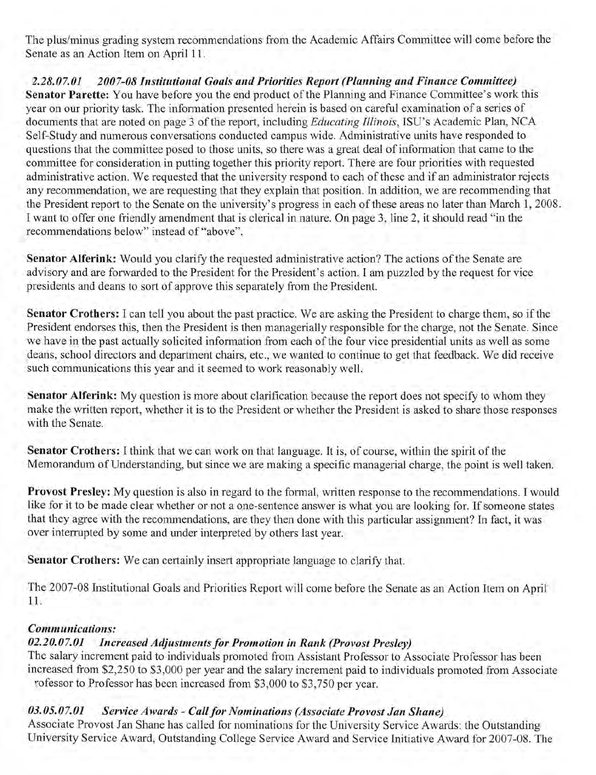The plus/minus grading system recommendations from the Academic Affairs Committee will come before the Senate as an Action Item on April 11.

*2.28.07.01 2007-08 Institutional Goals and Priorities Report (Planning and Finance Committee)*  Senator Parette: You have before you the end product of the Planning and Finance Committee's work this year on our priority task. The information presented herein is based on careful examination of a series of documents that are noted on page 3 of the report, including *Educating Illinois,* ISU's Academic Plan, NCA Self-Study and numerous conversations conducted campus wide. Administrative units have responded to questions that the committee posed to those units, so there was a great deal of information that came to the committee for consideration in putting together this priority report. There are four priorities with requested administrative action. We requested that the university respond to each of these and if an administrator rejects any recommendation, we are requesting that they explain that position. In addition, we are recommending that the President report to the Senate on the university's progress in each of these areas no later than March 1, 2008. I want to offer one friendly amendment that is clerical in nature. On page 3, line 2, it should read "in the recommendations below" instead of "above".

Senator Alferink: Would you clarify the requested administrative action? The actions of the Senate are advisory and are forwarded to the President for the President's action. I am puzzled by the request for vice presidents and deans to sort of approve this separately from the President.

Senator Crothers: I can tell you about the past practice. We are asking the President to charge them, so if the President endorses this, then the President is then managerially responsible for the charge, not the Senate. Since we have in the past actually solicited information from each of the four vice presidential units as well as some deans, school directors and department chairs, etc., we wanted to continue to get that feedback. We did receive such communications this year and it seemed to work reasonably well.

Senator Alferink: My question is more about clarification because the report does not specify to whom they make the written report, whether it is to the President or whether the President is asked to share those responses with the Senate.

Senator Crothers: I think that we can work on that language. It is, of course, within the spirit of the Memorandum of Understanding, but since we are making a specific managerial charge, the point is well taken.

Provost Presley: My question is also in regard to the formal, written response to the recommendations. I would like for it to be made clear whether or not a one-sentence answer is what you are looking for. If someone states that they agree with the recommendations, are they then done with this particular assignment? In fact, it was over interrupted by some and under interpreted by others last year.

Senator Crothers: We can certainly insert appropriate language to clarify that.

The 2007-08 Institutional Goals and Priorities Report will come before the Senate as an Action Item on April 11.

# *Communications:*

# *02.20.07.01 Increased Adjustmentsfor Promotion in Rank (Provost Presley)*

The salary increment paid to individuals promoted from Assistant Professor to Associate Professor has been increased from \$2,250 to \$3,000 per year and the salary increment paid to individuals promoted from Associate rofessor to Professor has been increased from \$3,000 to \$3,750 per year.

# *03.05.07.01 Service Awards* - *Callfor Nominations (Associate Provost Jan Shane)*

Associate Provost Jan Shane has called for nominations for the University Service Awards: the Outstanding University Service Award, Outstanding College Service Award and Service Initiative Award for 2007-08. The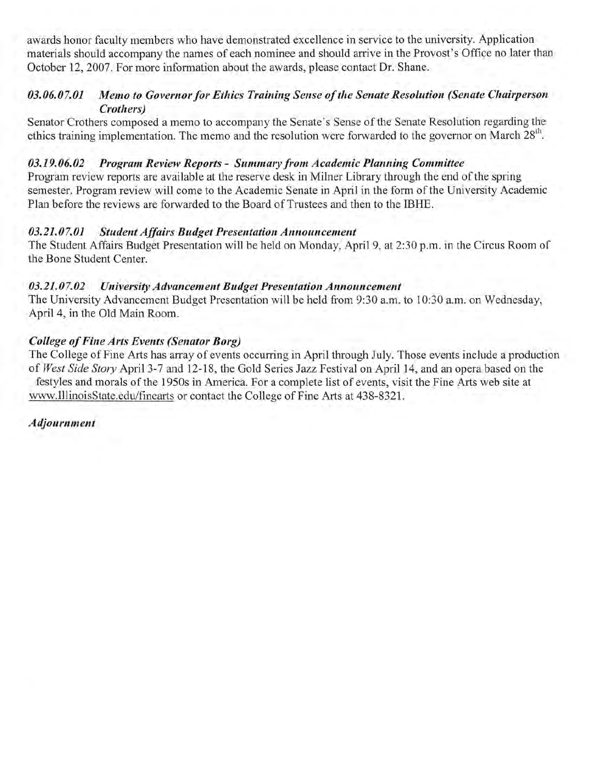awards honor faculty members who have demonstrated excellence in service to the university. Application materials should accompany the names of each nominee and should arrive in the Provost's Office no later than October 12, 2007. For more information about the awards, please contact Dr. Shane.

#### *03.06.07.01 Memo to Governor for Ethics Training Sense of the Senate Resolution (Senate Chairperson Crothers)*

Senator Crothers composed a memo to accompany the Senate's Sense of the Senate Resolution regarding the ethics training implementation. The memo and the resolution were forwarded to the governor on March 28<sup>th</sup>.

#### *03.19.06.02 Program Review Reports* - *Summary from Academic Planning Committee*

Program review reports are available at the reserve desk in Milner Library through the end of the spring semester. Program review will come to the Academic Senate in April in the form of the University Academic Plan before the reviews are forwarded to the Board of Trustees and then to the IBHE.

## *03.21.07.01 Student Affairs Budget Presentation Announcement*

The Student Affairs Budget Presentation will be held on Monday, April 9, at 2:30 p.m. in the Circus Room of the Bone Student Center.

## *03.21.07.02 University Advancement Budget Presentation Announcement*

The University Advancement Budget Presentation will be held from 9:30 a.m. to 10:30 a.m. on Wednesday, April 4, in the Old Main Room.

## *College of Fine Arts Events (Senator Borg)*

The College of Fine Arts has array of events occurring in April through July. Those events include a production of *West Side Story* April 3-7 and 12-18, the Gold Series Jazz Festival on Apri114, and an opera based on the festyles and morals of the 1950s in America. For a complete list of events, visit the Fine Arts web site at www.IllinoisState.edu/finearts or contact the College of Fine Arts at 438-8321.

*Adjournment*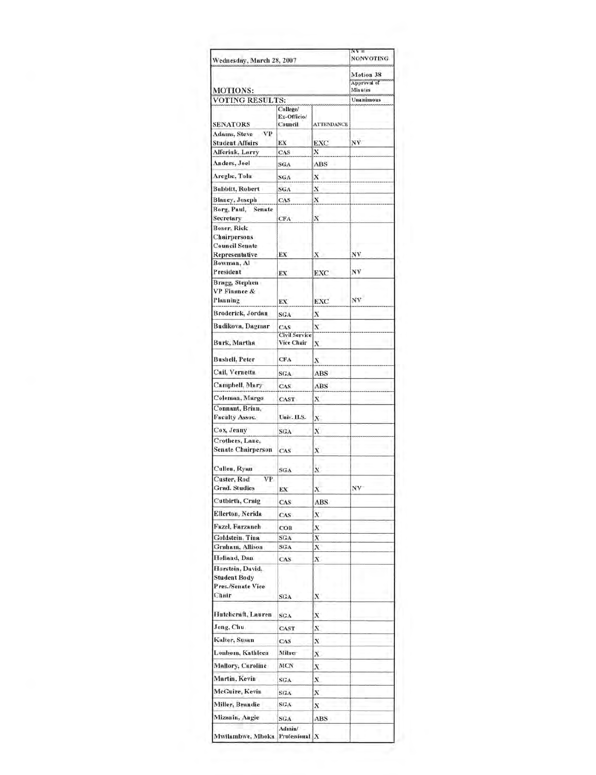| Wednesday, March 28, 2007                                             |                             |                   |                                            |
|-----------------------------------------------------------------------|-----------------------------|-------------------|--------------------------------------------|
| <b>MOTIONS:</b>                                                       |                             |                   | <b>Motion 38</b><br>Approval of<br>Minutes |
| <b>VOTING RESULTS:</b>                                                |                             |                   | Unanimous                                  |
|                                                                       | College/                    |                   |                                            |
|                                                                       | Ex-Officio/                 |                   |                                            |
| <b>SENATORS</b>                                                       | Council                     | <b>ATTENDANCE</b> |                                            |
| Adams, Steve<br><b>VP</b><br><b>Student Affairs</b>                   | ЕX                          | EXC               | NV                                         |
| Alferink, Larry                                                       | CAS                         | x                 |                                            |
| Anders, Joel                                                          |                             | ABS               |                                            |
|                                                                       | SGA                         |                   |                                            |
| Aregbe, Tolu                                                          | SGA                         | X                 |                                            |
| Babbitt, Robert                                                       | SGA                         | x                 |                                            |
| <b>Blaney, Joseph</b>                                                 | CAS                         | $\bf{X}$          |                                            |
| Borg, Paul,<br><b>Senate</b><br>Secretary                             | CFA                         | X                 |                                            |
| <b>Boser, Rick</b>                                                    |                             |                   |                                            |
| <b>Chairpersons</b>                                                   |                             |                   |                                            |
| <b>Council Senate</b>                                                 |                             |                   |                                            |
| Representative<br>Bowman, Al                                          | ЕX                          | Х                 | ΝV                                         |
| President                                                             | EX                          | EXC               | NV                                         |
| Bragg, Stephen                                                        |                             |                   |                                            |
| <b>VP Finance &amp;</b>                                               |                             |                   |                                            |
| Planning                                                              | EX                          | <b>EXC</b>        | NV                                         |
| Broderick, Jordan                                                     | SGA                         | X                 |                                            |
| Budikova, Dagmar                                                      |                             |                   |                                            |
|                                                                       | CAS<br><b>Civil Service</b> | X                 |                                            |
| Burk, Martha                                                          | Vice Chair                  | х                 |                                            |
| <b>Bushell, Peter</b>                                                 | <b>CFA</b>                  | x                 |                                            |
| Cail, Vernetta                                                        | SGA                         | ABS               |                                            |
| Campbell, Mary                                                        | CAS.                        | <b>ABS</b>        |                                            |
|                                                                       |                             |                   |                                            |
| Coleman, Margo                                                        | CAST                        | x                 |                                            |
| Connant, Brian,<br><b>Faculty Assoc.</b>                              | Univ. H.S.                  | x                 |                                            |
| Cox, Jenny                                                            | SGA                         | X                 |                                            |
| Crothers, Lane,<br><b>Senate Chairperson</b>                          | CAS                         | х                 |                                            |
| Cullen, Ryan                                                          |                             |                   |                                            |
| Custer, Rod<br><b>VP</b>                                              | SGA                         | X                 |                                            |
| Grad. Studies                                                         | EX                          | $\bf x$           | NV                                         |
|                                                                       |                             |                   |                                            |
| Cutbirth, Craig                                                       | CAS                         | ABS               |                                            |
| Ellerton, Nerida                                                      | CAS                         | x                 |                                            |
| Fazel, Farzaneh                                                       | COB                         | Х                 |                                            |
| Goldstein, Tina                                                       | SGA                         | X                 |                                            |
| Graham, Allison                                                       | SGA                         | X                 |                                            |
| Holland, Dan                                                          | CAS                         | х                 |                                            |
| Horstein, David.<br><b>Student Body</b><br>Pres./Senate Vice<br>Chair | SGA                         | x                 |                                            |
| Hutcheraft, Lauren                                                    | SGA                         | x                 |                                            |
| Jong, Chu                                                             | CAST                        | X                 |                                            |
| Kalter, Susan                                                         | CAS                         | x                 |                                            |
| Lonbom, Kathleen                                                      | Milner                      |                   |                                            |
|                                                                       |                             | х                 |                                            |
| Mallory, Caroline<br>Martin, Kevin                                    | MCN                         | х                 |                                            |
|                                                                       | SGA                         | X                 |                                            |
| McGuire, Kevin                                                        | SGA                         | X                 |                                            |
| Miller, Brandie                                                       | SGA                         | х                 |                                            |
| Mizanin, Angie                                                        | SGA                         | ABS               |                                            |
| Mwilambwe, Mboka                                                      | Admin/<br>Professional X    |                   |                                            |